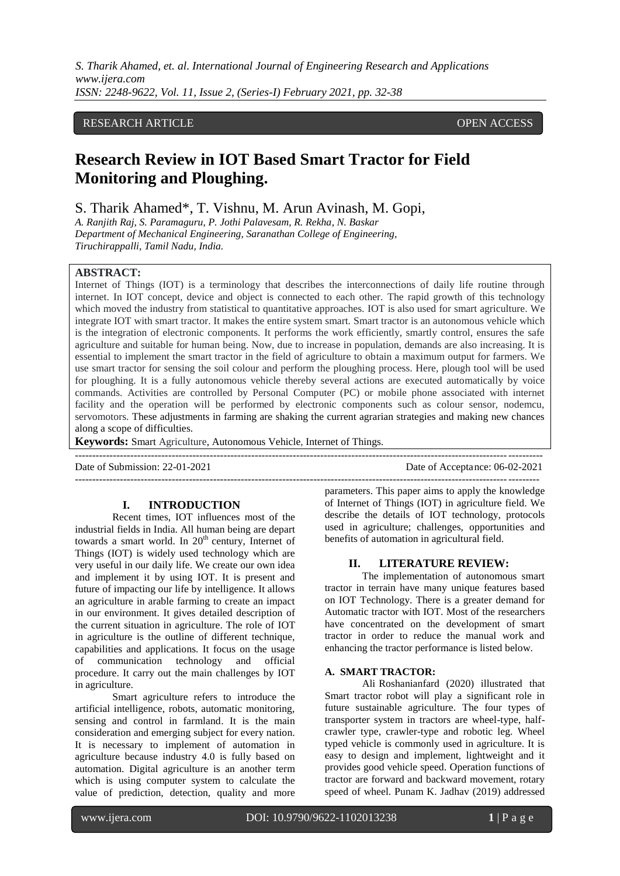*S. Tharik Ahamed, et. al. International Journal of Engineering Research and Applications www.ijera.com ISSN: 2248-9622, Vol. 11, Issue 2, (Series-I) February 2021, pp. 32-38*

## RESEARCH ARTICLE **CONSERVERS** OPEN ACCESS

# **Research Review in IOT Based Smart Tractor for Field Monitoring and Ploughing.**

S. Tharik Ahamed\*, T. Vishnu, M. Arun Avinash, M. Gopi,

*A. Ranjith Raj, S. Paramaguru, P. Jothi Palavesam, R. Rekha, N. Baskar Department of Mechanical Engineering, Saranathan College of Engineering, Tiruchirappalli, Tamil Nadu, India.*

## **ABSTRACT:**

Internet of Things (IOT) is a terminology that describes the interconnections of daily life routine through internet. In IOT concept, device and object is connected to each other. The rapid growth of this technology which moved the industry from statistical to quantitative approaches. IOT is also used for smart agriculture. We integrate IOT with smart tractor. It makes the entire system smart. Smart tractor is an autonomous vehicle which is the integration of electronic components. It performs the work efficiently, smartly control, ensures the safe agriculture and suitable for human being. Now, due to increase in population, demands are also increasing. It is essential to implement the smart tractor in the field of agriculture to obtain a maximum output for farmers. We use smart tractor for sensing the soil colour and perform the ploughing process. Here, plough tool will be used for ploughing. It is a fully autonomous vehicle thereby several actions are executed automatically by voice commands. Activities are controlled by Personal Computer (PC) or mobile phone associated with internet facility and the operation will be performed by electronic components such as colour sensor, nodemcu, servomotors. These adjustments in farming are shaking the current agrarian strategies and making new chances along a scope of difficulties.

---------------------------------------------------------------------------------------------------------------------------------------

**Keywords:** Smart Agriculture, Autonomous Vehicle, Internet of Things.

Date of Submission: 22-01-2021 Date of Acceptance: 06-02-2021

#### **I. INTRODUCTION**

Recent times, IOT influences most of the industrial fields in India. All human being are depart towards a smart world. In  $20<sup>th</sup>$  century, Internet of Things (IOT) is widely used technology which are very useful in our daily life. We create our own idea and implement it by using IOT. It is present and future of impacting our life by intelligence. It allows an agriculture in arable farming to create an impact in our environment. It gives detailed description of the current situation in agriculture. The role of IOT in agriculture is the outline of different technique, capabilities and applications. It focus on the usage of communication technology and official procedure. It carry out the main challenges by IOT in agriculture.

Smart agriculture refers to introduce the artificial intelligence, robots, automatic monitoring, sensing and control in farmland. It is the main consideration and emerging subject for every nation. It is necessary to implement of automation in agriculture because industry 4.0 is fully based on automation. Digital agriculture is an another term which is using computer system to calculate the value of prediction, detection, quality and more

------------------------------------------------------------------------------------------------------------------------------------- parameters. This paper aims to apply the knowledge of Internet of Things (IOT) in agriculture field. We describe the details of IOT technology, protocols used in agriculture; challenges, opportunities and benefits of automation in agricultural field.

## **II. LITERATURE REVIEW:**

The implementation of autonomous smart tractor in terrain have many unique features based on IOT Technology. There is a greater demand for Automatic tractor with IOT. Most of the researchers have concentrated on the development of smart tractor in order to reduce the manual work and enhancing the tractor performance is listed below.

#### **A. SMART TRACTOR:**

Ali Roshanianfard (2020) illustrated that Smart tractor robot will play a significant role in future sustainable agriculture. The four types of transporter system in tractors are wheel-type, halfcrawler type, crawler-type and robotic leg. Wheel typed vehicle is commonly used in agriculture. It is easy to design and implement, lightweight and it provides good vehicle speed. Operation functions of tractor are forward and backward movement, rotary speed of wheel. Punam K. Jadhav (2019) addressed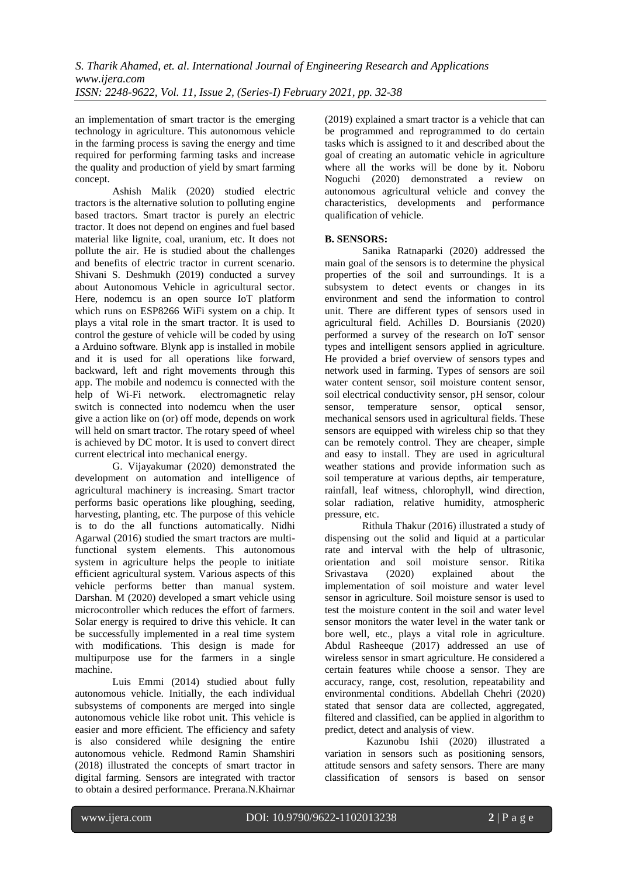an implementation of smart tractor is the emerging technology in agriculture. This autonomous vehicle in the farming process is saving the energy and time required for performing farming tasks and increase the quality and production of yield by smart farming concept.

Ashish Malik (2020) studied electric tractors is the alternative solution to polluting engine based tractors. Smart tractor is purely an electric tractor. It does not depend on engines and fuel based material like lignite, coal, uranium, etc. It does not pollute the air. He is studied about the challenges and benefits of electric tractor in current scenario. Shivani S. Deshmukh (2019) conducted a survey about Autonomous Vehicle in agricultural sector. Here, nodemcu is an open source IoT platform which runs on ESP8266 WiFi system on a chip. It plays a vital role in the smart tractor. It is used to control the gesture of vehicle will be coded by using a Arduino software. Blynk app is installed in mobile and it is used for all operations like forward, backward, left and right movements through this app. The mobile and nodemcu is connected with the help of Wi-Fi network. electromagnetic relay switch is connected into nodemcu when the user give a action like on (or) off mode, depends on work will held on smart tractor. The rotary speed of wheel is achieved by DC motor. It is used to convert direct current electrical into mechanical energy.

G. Vijayakumar (2020) demonstrated the development on automation and intelligence of agricultural machinery is increasing. Smart tractor performs basic operations like ploughing, seeding, harvesting, planting, etc. The purpose of this vehicle is to do the all functions automatically. Nidhi Agarwal (2016) studied the smart tractors are multifunctional system elements. This autonomous system in agriculture helps the people to initiate efficient agricultural system. Various aspects of this vehicle performs better than manual system. Darshan. M (2020) developed a smart vehicle using microcontroller which reduces the effort of farmers. Solar energy is required to drive this vehicle. It can be successfully implemented in a real time system with modifications. This design is made for multipurpose use for the farmers in a single machine.

Luis Emmi (2014) studied about fully autonomous vehicle. Initially, the each individual subsystems of components are merged into single autonomous vehicle like robot unit. This vehicle is easier and more efficient. The efficiency and safety is also considered while designing the entire autonomous vehicle. Redmond Ramin Shamshiri (2018) illustrated the concepts of smart tractor in digital farming. Sensors are integrated with tractor to obtain a desired performance. Prerana.N.Khairnar (2019) explained a smart tractor is a vehicle that can be programmed and reprogrammed to do certain tasks which is assigned to it and described about the goal of creating an automatic vehicle in agriculture where all the works will be done by it. Noboru Noguchi (2020) demonstrated a review on autonomous agricultural vehicle and convey the characteristics, developments and performance qualification of vehicle.

# **B. SENSORS:**

Sanika Ratnaparki (2020) addressed the main goal of the sensors is to determine the physical properties of the soil and surroundings. It is a subsystem to detect events or changes in its environment and send the information to control unit. There are different types of sensors used in agricultural field. Achilles D. Boursianis (2020) performed a survey of the research on IoT sensor types and intelligent sensors applied in agriculture. He provided a brief overview of sensors types and network used in farming. Types of sensors are soil water content sensor, soil moisture content sensor, soil electrical conductivity sensor, pH sensor, colour sensor, temperature sensor, optical sensor, mechanical sensors used in agricultural fields. These sensors are equipped with wireless chip so that they can be remotely control. They are cheaper, simple and easy to install. They are used in agricultural weather stations and provide information such as soil temperature at various depths, air temperature, rainfall, leaf witness, chlorophyll, wind direction, solar radiation, relative humidity, atmospheric pressure, etc.

Rithula Thakur (2016) illustrated a study of dispensing out the solid and liquid at a particular rate and interval with the help of ultrasonic, orientation and soil moisture sensor. Ritika Srivastava (2020) explained about the implementation of soil moisture and water level sensor in agriculture. Soil moisture sensor is used to test the moisture content in the soil and water level sensor monitors the water level in the water tank or bore well, etc., plays a vital role in agriculture. Abdul Rasheeque (2017) addressed an use of wireless sensor in smart agriculture. He considered a certain features while choose a sensor. They are accuracy, range, cost, resolution, repeatability and environmental conditions. Abdellah Chehri (2020) stated that sensor data are collected, aggregated, filtered and classified, can be applied in algorithm to predict, detect and analysis of view.

 Kazunobu Ishii (2020) illustrated a variation in sensors such as positioning sensors, attitude sensors and safety sensors. There are many classification of sensors is based on sensor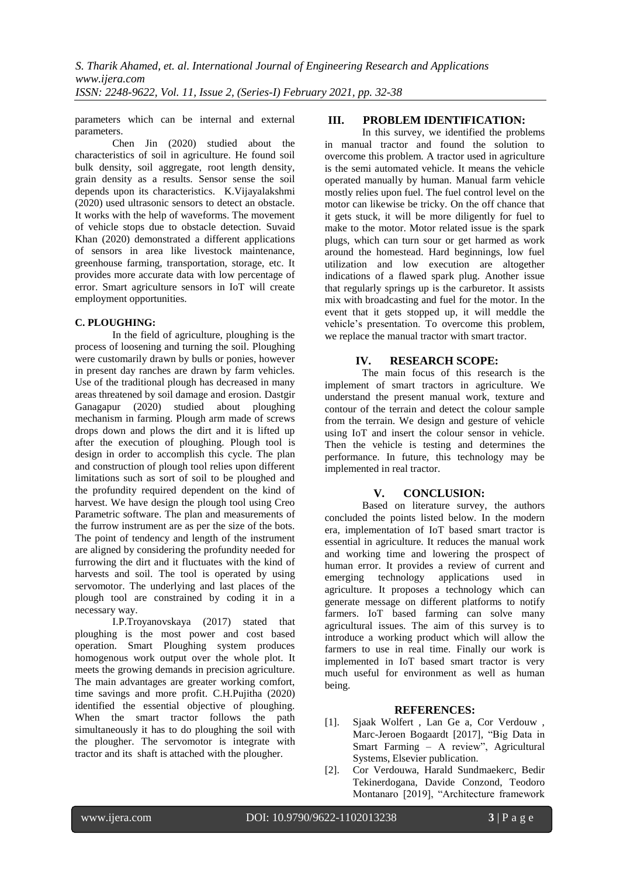parameters which can be internal and external parameters.

Chen Jin (2020) studied about the characteristics of soil in agriculture. He found soil bulk density, soil aggregate, root length density, grain density as a results. Sensor sense the soil depends upon its characteristics. K.Vijayalakshmi (2020) used ultrasonic sensors to detect an obstacle. It works with the help of waveforms. The movement of vehicle stops due to obstacle detection. Suvaid Khan (2020) demonstrated a different applications of sensors in area like livestock maintenance, greenhouse farming, transportation, storage, etc. It provides more accurate data with low percentage of error. Smart agriculture sensors in IoT will create employment opportunities.

## **C. PLOUGHING:**

In the field of agriculture, ploughing is the process of loosening and turning the soil. Ploughing were customarily drawn by bulls or ponies, however in present day ranches are drawn by farm vehicles. Use of the traditional plough has decreased in many areas threatened by soil damage and erosion. Dastgir Ganagapur (2020) studied about ploughing mechanism in farming. Plough arm made of screws drops down and plows the dirt and it is lifted up after the execution of ploughing. Plough tool is design in order to accomplish this cycle. The plan and construction of plough tool relies upon different limitations such as sort of soil to be ploughed and the profundity required dependent on the kind of harvest. We have design the plough tool using Creo Parametric software. The plan and measurements of the furrow instrument are as per the size of the bots. The point of tendency and length of the instrument are aligned by considering the profundity needed for furrowing the dirt and it fluctuates with the kind of harvests and soil. The tool is operated by using servomotor. The underlying and last places of the plough tool are constrained by coding it in a necessary way.

I.P.Troyanovskaya (2017) stated that ploughing is the most power and cost based operation. Smart Ploughing system produces homogenous work output over the whole plot. It meets the growing demands in precision agriculture. The main advantages are greater working comfort, time savings and more profit. C.H.Pujitha (2020) identified the essential objective of ploughing. When the smart tractor follows the path simultaneously it has to do ploughing the soil with the plougher. The servomotor is integrate with tractor and its shaft is attached with the plougher.

## **III. PROBLEM IDENTIFICATION:**

In this survey, we identified the problems in manual tractor and found the solution to overcome this problem. A tractor used in agriculture is the semi automated vehicle. It means the vehicle operated manually by human. Manual farm vehicle mostly relies upon fuel. The fuel control level on the motor can likewise be tricky. On the off chance that it gets stuck, it will be more diligently for fuel to make to the motor. Motor related issue is the spark plugs, which can turn sour or get harmed as work around the homestead. Hard beginnings, low fuel utilization and low execution are altogether indications of a flawed spark plug. Another issue that regularly springs up is the carburetor. It assists mix with broadcasting and fuel for the motor. In the event that it gets stopped up, it will meddle the vehicle's presentation. To overcome this problem, we replace the manual tractor with smart tractor.

# **IV. RESEARCH SCOPE:**

The main focus of this research is the implement of smart tractors in agriculture. We understand the present manual work, texture and contour of the terrain and detect the colour sample from the terrain. We design and gesture of vehicle using IoT and insert the colour sensor in vehicle. Then the vehicle is testing and determines the performance. In future, this technology may be implemented in real tractor.

# **V. CONCLUSION:**

Based on literature survey, the authors concluded the points listed below. In the modern era, implementation of IoT based smart tractor is essential in agriculture. It reduces the manual work and working time and lowering the prospect of human error. It provides a review of current and emerging technology applications used in agriculture. It proposes a technology which can generate message on different platforms to notify farmers. IoT based farming can solve many agricultural issues. The aim of this survey is to introduce a working product which will allow the farmers to use in real time. Finally our work is implemented in IoT based smart tractor is very much useful for environment as well as human being.

# **REFERENCES:**

- [1]. Sjaak Wolfert , Lan Ge a, Cor Verdouw , Marc-Jeroen Bogaardt [2017], "Big Data in Smart Farming – A review", Agricultural Systems, Elsevier publication.
- [2]. Cor Verdouwa, Harald Sundmaekerc, Bedir Tekinerdogana, Davide Conzond, Teodoro Montanaro [2019], "Architecture framework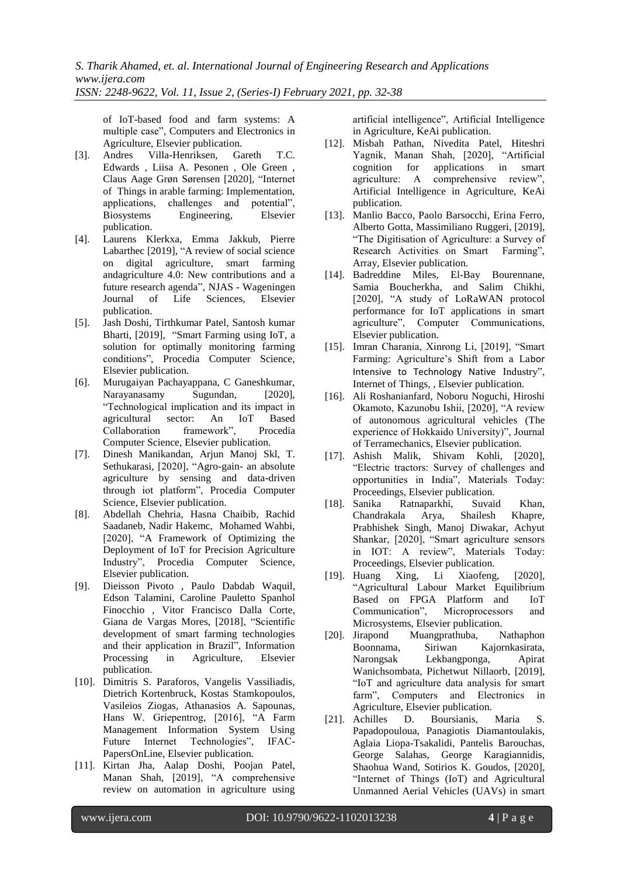of IoT-based food and farm systems: A multiple case", Computers and Electronics in Agriculture, Elsevier publication.

- [3]. Andres Villa-Henriksen, Gareth T.C. Edwards , Liisa A. Pesonen , Ole Green , Claus Aage Grøn Sørensen [2020], "Internet of Things in arable farming: Implementation, applications, challenges and potential", Biosystems Engineering, Elsevier publication.
- [4]. Laurens Klerkxa, Emma Jakkub, Pierre Labarthec [2019], "A review of social science on digital agriculture, smart farming andagriculture 4.0: New contributions and a future research agenda", NJAS - Wageningen Journal of Life Sciences, Elsevier publication.
- [5]. Jash Doshi, Tirthkumar Patel, Santosh kumar Bharti, [2019], "Smart Farming using IoT, a solution for optimally monitoring farming conditions", Procedia Computer Science, Elsevier publication.
- [6]. Murugaiyan Pachayappana, C Ganeshkumar, Narayanasamy Sugundan, [2020], "Technological implication and its impact in agricultural sector: An IoT Based Collaboration framework", Procedia Computer Science, Elsevier publication.
- [7]. Dinesh Manikandan, Arjun Manoj Skl, T. Sethukarasi, [2020], "Agro-gain- an absolute agriculture by sensing and data-driven through iot platform", Procedia Computer Science, Elsevier publication.
- [8]. Abdellah Chehria, Hasna Chaibib, Rachid Saadaneb, Nadir Hakemc, Mohamed Wahbi, [2020], "A Framework of Optimizing the Deployment of IoT for Precision Agriculture Industry", Procedia Computer Science, Elsevier publication.
- [9]. Dieisson Pivoto , Paulo Dabdab Waquil, Edson Talamini, Caroline Pauletto Spanhol Finocchio , Vitor Francisco Dalla Corte, Giana de Vargas Mores, [2018], "Scientific development of smart farming technologies and their application in Brazil", Information Processing in Agriculture, Elsevier publication.
- [10]. Dimitris S. Paraforos, Vangelis Vassiliadis, Dietrich Kortenbruck, Kostas Stamkopoulos, Vasileios Ziogas, Athanasios A. Sapounas, Hans W. Griepentrog, [2016], "A Farm Management Information System Using Future Internet Technologies", IFAC-PapersOnLine, Elsevier publication.
- [11]. Kirtan Jha, Aalap Doshi, Poojan Patel, Manan Shah, [2019], "A comprehensive review on automation in agriculture using

artificial intelligence", Artificial Intelligence in Agriculture, KeAi publication.

- [12]. Misbah Pathan, Nivedita Patel, Hiteshri Yagnik, Manan Shah, [2020], "Artificial cognition for applications in smart agriculture: A comprehensive review", Artificial Intelligence in Agriculture, KeAi publication.
- [13]. Manlio Bacco, Paolo Barsocchi, Erina Ferro, Alberto Gotta, Massimiliano Ruggeri, [2019], "The Digitisation of Agriculture: a Survey of Research Activities on Smart Farming", Array, Elsevier publication.
- [14]. Badreddine Miles, El-Bay Bourennane, Samia Boucherkha, and Salim Chikhi, [2020], "A study of LoRaWAN protocol performance for IoT applications in smart agriculture", Computer Communications, Elsevier publication.
- [15]. Imran Charania, Xinrong Li, [2019], "Smart Farming: Agriculture's Shift from a Labor Intensive to Technology Native Industry", Internet of Things, , Elsevier publication.
- [16]. Ali Roshanianfard, Noboru Noguchi, Hiroshi Okamoto, Kazunobu Ishii, [2020], "A review of autonomous agricultural vehicles (The experience of Hokkaido University)", Journal of Terramechanics, Elsevier publication.
- [17]. Ashish Malik, Shivam Kohli, [2020], "Electric tractors: Survey of challenges and opportunities in India", Materials Today: Proceedings, Elsevier publication.
- [18]. Sanika Ratnaparkhi, Suvaid Khan, Chandrakala Arya, Shailesh Khapre, Prabhishek Singh, Manoj Diwakar, Achyut Shankar, [2020], "Smart agriculture sensors in IOT: A review", Materials Today: Proceedings, Elsevier publication.
- [19]. Huang Xing, Li Xiaofeng, [2020], "Agricultural Labour Market Equilibrium Based on FPGA Platform and IoT Communication", Microprocessors and Microsystems, Elsevier publication.
- [20]. Jirapond Muangprathuba, Nathaphon Boonnama, Siriwan Kajornkasirata, Narongsak Lekbangponga, Apirat Wanichsombata, Pichetwut Nillaorb, [2019], "IoT and agriculture data analysis for smart farm", Computers and Electronics in Agriculture, Elsevier publication.
- [21]. Achilles D. Boursianis, Maria S. Papadopouloua, Panagiotis Diamantoulakis, Aglaia Liopa-Tsakalidi, Pantelis Barouchas, George Salahas, George Karagiannidis, Shaohua Wand, Sotirios K. Goudos, [2020], "Internet of Things (IoT) and Agricultural Unmanned Aerial Vehicles (UAVs) in smart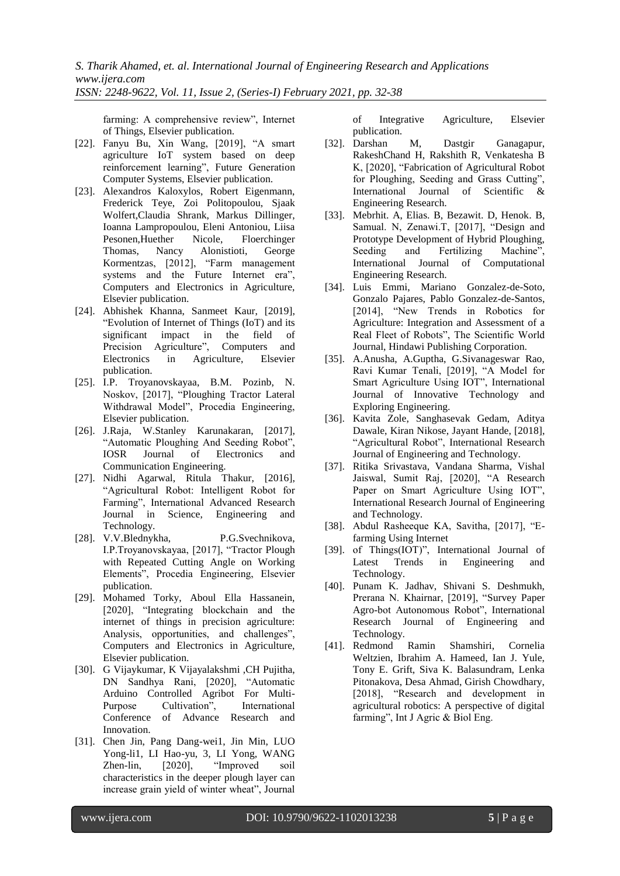*S. Tharik Ahamed, et. al. International Journal of Engineering Research and Applications www.ijera.com ISSN: 2248-9622, Vol. 11, Issue 2, (Series-I) February 2021, pp. 32-38*

farming: A comprehensive review", Internet of Things, Elsevier publication.

- [22]. Fanyu Bu, Xin Wang, [2019], "A smart agriculture IoT system based on deep reinforcement learning", Future Generation Computer Systems, Elsevier publication.
- [23]. Alexandros Kaloxylos, Robert Eigenmann, Frederick Teye, Zoi Politopoulou, Sjaak Wolfert,Claudia Shrank, Markus Dillinger, Ioanna Lampropoulou, Eleni Antoniou, Liisa Pesonen,Huether Nicole, Floerchinger Thomas, Nancy Alonistioti, George Kormentzas, [2012], "Farm management systems and the Future Internet era", Computers and Electronics in Agriculture, Elsevier publication.
- [24]. Abhishek Khanna, Sanmeet Kaur, [2019], "Evolution of Internet of Things (IoT) and its significant impact in the field of Precision Agriculture", Computers and Electronics in Agriculture, Elsevier publication.
- [25]. I.P. Troyanovskayaa, B.M. Pozinb, N. Noskov, [2017], "Ploughing Tractor Lateral Withdrawal Model", Procedia Engineering, Elsevier publication.
- [26]. J.Raja, W.Stanley Karunakaran, [2017], "Automatic Ploughing And Seeding Robot", IOSR Journal of Electronics and Communication Engineering.
- [27]. Nidhi Agarwal, Ritula Thakur, [2016], "Agricultural Robot: Intelligent Robot for Farming", International Advanced Research Journal in Science, Engineering and Technology.
- [28]. V.V.Blednykha, P.G.Svechnikova, I.P.Troyanovskayaa, [2017], "Tractor Plough with Repeated Cutting Angle on Working Elements", Procedia Engineering, Elsevier publication.
- [29]. Mohamed Torky, Aboul Ella Hassanein, [2020]. "Integrating blockchain and the internet of things in precision agriculture: Analysis, opportunities, and challenges", Computers and Electronics in Agriculture, Elsevier publication.
- [30]. G Vijaykumar, K Vijayalakshmi ,CH Pujitha, DN Sandhya Rani, [2020], "Automatic Arduino Controlled Agribot For Multi-Purpose Cultivation", International Conference of Advance Research and Innovation.
- [31]. Chen Jin, Pang Dang-wei1, Jin Min, LUO Yong-li1, LI Hao-yu, 3, LI Yong, WANG Zhen-lin, [2020], "Improved soil characteristics in the deeper plough layer can increase grain yield of winter wheat", Journal

of Integrative Agriculture, Elsevier publication.

- [32]. Darshan M, Dastgir Ganagapur, RakeshChand H, Rakshith R, Venkatesha B K, [2020], "Fabrication of Agricultural Robot for Ploughing, Seeding and Grass Cutting", International Journal of Scientific & Engineering Research.
- [33]. Mebrhit. A, Elias. B, Bezawit. D, Henok. B, Samual. N, Zenawi.T, [2017], "Design and Prototype Development of Hybrid Ploughing, Seeding and Fertilizing Machine". International Journal of Computational Engineering Research.
- [34]. Luis Emmi, Mariano Gonzalez-de-Soto, Gonzalo Pajares, Pablo Gonzalez-de-Santos, [2014], "New Trends in Robotics for Agriculture: Integration and Assessment of a Real Fleet of Robots", The Scientific World Journal, Hindawi Publishing Corporation.
- [35]. A.Anusha, A.Guptha, G.Sivanageswar Rao, Ravi Kumar Tenali, [2019], "A Model for Smart Agriculture Using IOT", International Journal of Innovative Technology and Exploring Engineering.
- [36]. Kavita Zole, Sanghasevak Gedam, Aditya Dawale, Kiran Nikose, Jayant Hande, [2018], "Agricultural Robot", International Research Journal of Engineering and Technology.
- [37]. Ritika Srivastava, Vandana Sharma, Vishal Jaiswal, Sumit Raj, [2020], "A Research Paper on Smart Agriculture Using IOT", International Research Journal of Engineering and Technology.
- [38]. Abdul Rasheeque KA, Savitha, [2017], "Efarming Using Internet
- [39]. of Things(IOT)", International Journal of Latest Trends in Engineering and Technology.
- [40]. Punam K. Jadhav, Shivani S. Deshmukh, Prerana N. Khairnar, [2019], "Survey Paper Agro-bot Autonomous Robot", International Research Journal of Engineering and Technology.
- [41]. Redmond Ramin Shamshiri, Cornelia Weltzien, Ibrahim A. Hameed, Ian J. Yule, Tony E. Grift, Siva K. Balasundram, Lenka Pitonakova, Desa Ahmad, Girish Chowdhary, [2018], "Research and development in agricultural robotics: A perspective of digital farming", Int J Agric & Biol Eng.